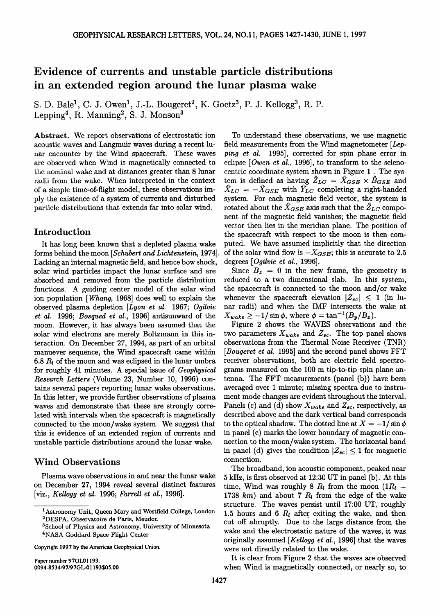# **Evidence of currents and unstable particle distributions in an extended region around the lunar plasma wake**

S. D. Bale<sup>1</sup>, C. J. Owen<sup>1</sup>, J.-L. Bougeret<sup>2</sup>, K. Goetz<sup>3</sup>, P. J. Kellogg<sup>3</sup>, R. P. Lepping<sup>4</sup>, R. Manning<sup>2</sup>, S. J. Monson<sup>3</sup>

**Abstract. We report observations of electrostatic ion acoustic waves and Langmuir waves during a recent lunar encounter by the Wind spacecraft. These waves are observed when Wind is magnetically connected to the nominal wake and at distances greater than 8 lunar radii from the wake. When interpreted in the context of a simple time-of-flight model, these observations imply the existence of a system of currents and disturbed particle distributions that extends far into solar wind.** 

# **Introduction**

**It has long been known that a depleted plasma wake forms behind the moon [Schubert and Lichtenstein, 1974]. Lacking an internal magnetic field, and hence bow shock, solar wind particles impact the lunar surface and are absorbed and removed from the particle distribution functions. A guiding center model of the solar wind ion population [Whang, 1968] does well to explain the observed plasma depletion [Lyon et al. 1967; Ogilvie et al. 1996; Bosqued et al., 1996] antisunward of the moon. However, it has always been assumed that the solar wind electrons are merely Boltzmann in this interaction. On December 27, 1994, as part of an orbital manuever sequence, the Wind spacecraft came within 6.8 R• of the moon and was eclipsed in the lunar umbra for roughly 41 minutes. A special issue of Geophysical Research Letters (Volume 23, Number 10, 1996) contains several papers reporting lunar wake observations. In this letter, we provide further observations cf plasma waves and demonstrate that these are strongly correlated with intervals when the spacecraft is magnetically connected to the moon/wake system. We suggest that this is evidence of an extended region of currents and unstable particle distributions around the lunar wake.** 

### **Wind Observations**

**Plasma wave observations in and near the lunar wake on December 27, 1994 reveal several distinct features [viz., Kellogg et al. 1996; Farrell et al., 1996].** 

**Copyright 1997 by the American Geophysical Union.** 

**Paper number 97GL01193. 0094-8534/97/97GL-01193505.00** 

**To understand these observations, we use magnetic field measurements from the Wind magnetometer [Lepping et al. 1995], corrected for spin phase error in eclipse [Owen et al., 1996], to transform to the seleno**centric coordinate system shown in Figure 1. The system is defined as having  $\hat{Z}_{LC} = \hat{X}_{GSE} \times \hat{B}_{GSE}$  and  $\hat{X}_{LC} = -\hat{X}_{GSE}$  with  $\hat{Y}_{LC}$  completing a right-handed system. For each magnetic field vector, the system is rotated about the  $\hat{X}_{GSE}$  axis such that the  $\hat{Z}_{LC}$  compo**nent of the magnetic field vanishes; the magnetic field vector then lies in the meridian plane. The position of the spacecraft with respect to the moon is then computed. We have assumed implicitly that the direction**  of the solar wind flow is  $-X_{GSE}$ ; this is accurate to 2.5 **degrees [Ogilvie et al., 1996].** 

Since  $B_z = 0$  in the new frame, the geometry is **reduced to a two dimensional slab. In this system, the spacecraft is connected to the moon and/or wake**  whenever the spacecraft elevation  $|Z_{sc}| \leq 1$  (in lu**nar radii) and when the IMF intersects the wake at**   $X_{wake} \geq -1/\sin \phi$ , where  $\phi = \tan^{-1}(B_y/B_x)$ .

**Figure 2 shows the WAVES observations and the**  two parameters  $X_{wake}$  and  $Z_{sc}$ . The top panel shows **observations from the Thermal Noise Receiver (TNR) [Bougeret et al. 1995] and the second panel shows FFT receiver observations, both are electric field spectrograms measured on the 100 m tip-to-tip spin plane antenna. The FFT measurements (panel (b)) have been averaged over 1 minute; missing spectra due to instrument mode changes are evident throughout the interval.**  Panels (c) and (d) show  $X_{wake}$  and  $Z_{sc}$ , respectively, as **described above and the dark vertical band corresponds**  to the optical shadow. The dotted line at  $X = -1/\sin \phi$ **in panel (c) marks the lower boundary of magnetic connection to the moon/wake system. The horizontal band**  in panel (d) gives the condition  $|Z_{sc}| \leq 1$  for magnetic **connection.** 

**The broadband, ion acoustic component, peaked near 5 kHz, is first observed at 12:30 UT in panel (b). At this**  time, Wind was roughly 8  $R_l$  from the moon (1 $R_l$  = 1738  $km$ ) and about 7  $R_l$  from the edge of the wake **structure. The waves persist until 17:00 UT, roughly**  1.5 hours and 6  $R_l$  after exiting the wake, and then **cut off abruptly. Due to the large distance from the wake and the electrostatic nature of the waves, it was originally assumed [Kellogg et al., 1996] that the waves were not directly related to the wake.** 

**It is clear from Figure 2 that the waves are observed when Wind is magnetically connected, or nearly so, to** 

**<sup>1</sup>Astronomy Unit, Queen Mary and Westfield College, London 2DESPA, Observatoire de Paris, Meudon** 

**aSchool of Physics and Astronomy, University of Minnesota 4NASA Goddard Space Flight Center**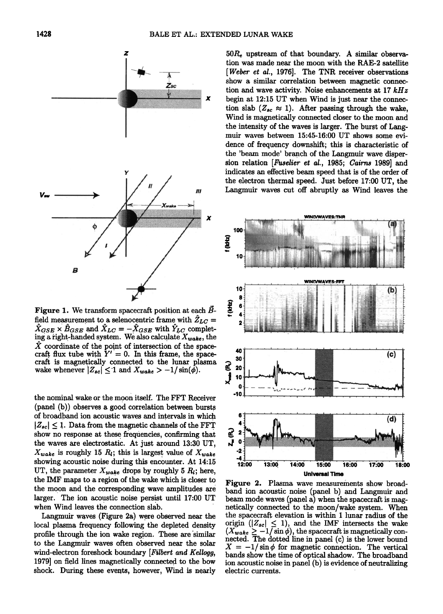

**Figure 1. We transform spacecraft position at each Bfield measurement to a selenocentric frame with**  $Z_{LC} = \hat{X}$  $X_{GSE} \times B_{GSE}$  and  $X_{LC} = -X_{GSE}$  with  $Y_{LC}$  completing a right-handed system. We also calculate  $X_{wake}$ , the X coordinate of the point of intersection of the spacecraft flux tube with  $Y' = 0$ . In this frame, the space**craft is magnetically connected to the lunar plasma**  wake whenever  $|Z_{sc}| \leq 1$  and  $X_{wake} > -1/\sin(\phi)$ .

**the nominal wake or the moon itself. The FFT Receiver (panel (b)) observes agood correlation between bursts of broadband ion acoustic waves and intervals in which**   $|Z_{sc}| \leq 1$ . Data from the magnetic channels of the FFT **show no response at these frequencies, confirming that the waves are electrostatic. A• just around 13:30 UT,**   $X_{wake}$  is roughly 15  $R_i$ ; this is largest value of  $X_{wake}$ **showing acoustic noise during this encounter. At 14:15**  UT, the parameter  $X_{wake}$  drops by roughly 5  $R_i$ ; here, **the !MF maps to a region of the wake which is closer to the moon and the corresponding wave amplitudes are larger.. The ion acoustic noise persist until 17:00 UT when Wind leaves the connection slab.** 

**Langmuir waves (Figure 2a) were observed near the local plasma frequency following the depleted density profile through the ion wake region. These are similar to the Langmuir waves often observed near the solar wind-electron foreshock boundary [Filbert and Kellogg, 1979] on field lines magnetically connected to the bow**  shock. During these events, however, Wind is nearly

**50Re upstream of that boundary. A similar observation was made near the moon with the RAE-2 satellite [Weber et al., 1976]. The TNR receiver observations Show a similar correlation between magnetic connection and wave activity. Noise enhancements at 17 kHz begin at 12:15 UT when Wind is just near the connec**tion slab  $(Z_{sc} \approx 1)$ . After passing through the wake, **Wind is magnetically connected closer to the moon and the intensity of the waves is larger. The burst of Langmuir waves between 15:45-16:00 UT shows some evidence of frequency downshift; this is characteristic of the 'beam mode' branch of the Langmuir wave dispersion relation /Fuselief et al., 1985; Cairns 1989] and indicates an effective beam speed that is of the order of the electron thermal speed. Just before 17:00 UT, the L.angmuir waves cut off abruptly as Wind leaves the** 



**Figure 2. Plasma wave measurements show broadband ion acoustic noise (panel b) and Langmuir and beam mode waves (panel a) when the spacecraft is magnetically connected to the moon/wake system. When the spacecraft elevation is within I lunar radius of the**   $\text{origin}$  ( $|Z_{sc}| \leq 1$ ), and the IMF intersects the wake  $(X_{\text{wake}} \ge -1/\sin \phi)$ , the spacecraft is magnetically con**nected. The dotted line in panel (c) is the lower bound**   $X = -1/\sin\phi$  for magnetic connection. The vertical **bands show the time of optical shadow. The broadband ion acoustic noise in panel (b) is evidence of neutralizing electric currents.**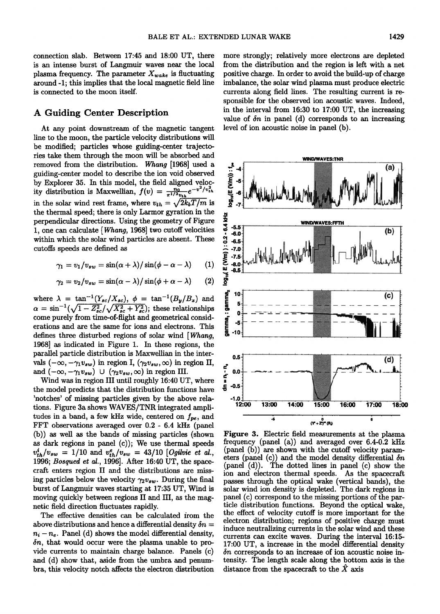**connection slab. Between 17:45 and 18:00 UT, there is an intense burst of Langmuir waves near the local**  plasma frequency. The parameter  $X_{wake}$  is fluctuating **around-1; this implies that the local magnetic field line is connected to the moon itself.** 

# **A Guiding Center Description**

**At any point downstream of the magnetic tangent line to the moon, the particle velocity distributions will be modified; particles whose guiding-center trajectories take them through the moon will be absorbed and**  removed from the distribution. Whang [1968] used a **guiding-center model to describe the ion void observed by Explorer 35. In this model, the field aligned veloc**  ity distribution is Maxwellian,  $f(v) = \frac{n_0}{\pi^{1/2}v_{th}}e^{-v^2/v_{th}^2}$ in the solar wind rest frame, where  $v_{th} = \sqrt{2k_bT/m}$  is **the thermal speed; there is only Larmor gyration in the perpendicular directions. Using the geometry of Figure**  1, one can calculate [*Whang*, 1968] two cutoff velocities<br>within which the solar wind particles are absent. These<br>cutoffs speeds are defined as<br> $\gamma_1 = v_1/v_{sw} = \sin(\alpha + \lambda)/\sin(\phi - \alpha - \lambda)$  (1)<br> $\gamma_2 = v_2/v_{sw} = \sin(\alpha - \lambda)/\sin(\phi + \alpha - \lambda)$  (2 **within which the solar wind particles are absent. These cutoffs speeds are defined as** 

$$
\gamma_1 = v_1/v_{sw} = \sin(\alpha + \lambda)/\sin(\phi - \alpha - \lambda) \qquad (1)
$$

$$
\gamma_2 = v_2/v_{sw} = \sin(\alpha - \lambda)/\sin(\phi + \alpha - \lambda) \qquad (2)
$$

where  $\lambda = \tan^{-1}(Y_{sc}/X_{sc}), \phi = \tan^{-1}(B_y/B_x)$  and  $\alpha = \sin^{-1}(\sqrt{1 - Z_{sc}^2}/\sqrt{X_{sc}^2 + Y_{sc}^2})$ ; these relationships **come purely from time-of-flight and geometrical considerations and are the same for ions and electrons. This defines three disturbed regions of solar wind [Whang, 1968] as indicated in Figure 1. In these regions, the parallel particle distribution is Maxwellian in the inter**vals  $(-\infty, -\gamma_1 v_{sw})$  in region I,  $(\gamma_2 v_{sw}, \infty)$  in region II, and  $(-\infty,-\gamma_1v_{sw}) \cup (\gamma_2v_{sw},\infty)$  in region III.

**Wind was in region III until roughly 16:40 UT, where the model predicts that the distribution functions have 'notches' of missing particles given by the above relations. Figure 3a shows WAVES/TNR integrated ampli**tudes in a band, a few kHz wide, centered on  $f_{pe}$ , and **FFT observations averaged over 0.2 - 6.4 kHz (panel (b)) as well as the bands of missing particles (shown as dark regions in panel (c)); We use thermal speeds <sup>ß</sup>**  $v_{th}^{i}/v_{sw} = 1/10$  and  $v_{th}^{e}/v_{sw} = 43/10$  [Ogilvie et al., **1996; Bosqued et al., 1996]. After 16:40 UT, the spacecraft enters region II and the distributions are miss**ing particles below the velocity  $\gamma_2 v_{sw}$ . During the final **burst of Langmuir waves starting at 17:35 UT, Wind is moving quickly between regions II and III, as the magnetic field direction fluctuates rapidly.** 

**The effective densities can be calculated from the**  above distributions and hence a differential density  $\delta n =$  $n_i - n_e$ . Panel (d) shows the model differential density, **5n, that would occur were the plasma unable to provide currents to maintain charge balance. Panels (c) and (d) show that, aside from the umbra and penumbra, this velocity notch affects the electron distribution**  **more strongly; relatively more electrons are depleted from the distribution and the region is left with a net positive charge. In order to avoid the build-up of charge imbalance, the solar wind plasma must produce electric currents along field lines. The resulting current is responsible for the observed ion acoustic waves. Indeed, in the interval from 16:30 to 17:00 UT, the increasing**  value of  $\delta n$  in panel (d) corresponds to an increasing **level of ion acoustic noise in panel (b).** 



**Figure 3. Electric field measurements at the plasma frequency (panel (a)) and averaged over 6.4-0.2 kHz (panel (b)) are shown with the cutoff velocity parameters (panel (c)) and the model density differential 5n (panel (d)). The dotted lines in panel (c) show the ion and electron thermal speeds. As the spacecraft passes through the optical wake (vertical bands), the solar wind ion density is depleted. The dark regions in panel (c) correspond to the missing portions of the particle distribution functions. Beyond the optical wake, the effect of velocity cutoff is more important for the electron distribution; regions of positive charge must induce neutralizing currents in the solar wind and these currents can excite waves. During the interval 16:15- 17:00 UT, a increase in the model differential density 5n corresponds to an increase of ion acoustic noise intensity. The length scale along the bottom axis is the**  distance from the spacecraft to the  $\hat{X}$  axis